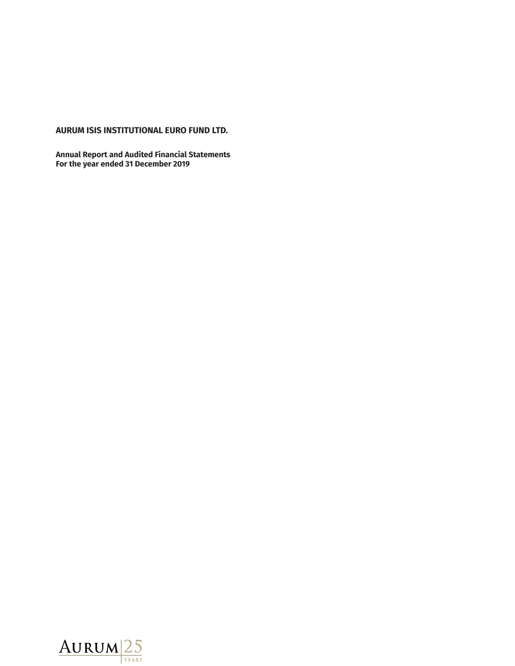# **AURUM ISIS INSTITUTIONAL EURO FUND LTD.**

**Annual Report and Audited Financial Statements For the year ended 31 December 2019**

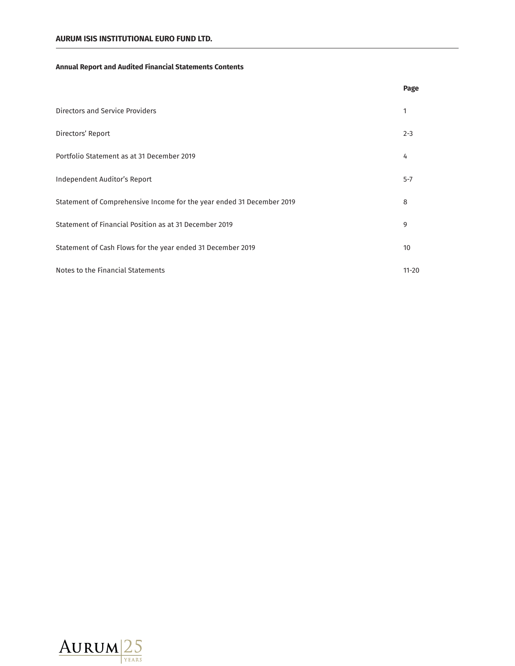# **Annual Report and Audited Financial Statements Contents**

|                                                                       | Page      |
|-----------------------------------------------------------------------|-----------|
| Directors and Service Providers                                       | 1         |
| Directors' Report                                                     | $2 - 3$   |
| Portfolio Statement as at 31 December 2019                            | 4         |
| Independent Auditor's Report                                          | $5 - 7$   |
| Statement of Comprehensive Income for the year ended 31 December 2019 | 8         |
| Statement of Financial Position as at 31 December 2019                | 9         |
| Statement of Cash Flows for the year ended 31 December 2019           | 10        |
| Notes to the Financial Statements                                     | $11 - 20$ |

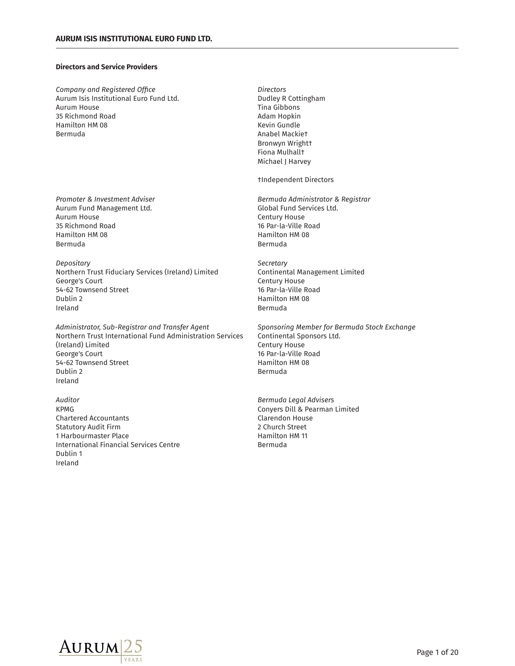## **Directors and Service Providers**

*Company and Registered* Aurum Isis Institutional Euro Fund Ltd.<br>
Aurum House Contingham<br>
Dudley R Cottingham 35 Richmond Road<br>Hamilton HM 08 Hamilton Hopkin State Adam Hopkin Gundle Hamilton HM 08 Bermuda **Anabel Mackiet** 

Aurum Fund Management Ltd. The Controller of Global Fund Services Ltd. Aurum House **Century House** 35 Richmond Road 16 Par-la-Ville Road Hamilton HM 08 Hamilton HM 08 Bermuda **Bermuda** Bermuda

*Depositary egositary <i>egositary <i>secretary* Northern Trust Fiduciary Services (Ireland) Limited Continental Management Limited George's Court **Century House** Century House 54-62 Townsend Street 16 Par-la-Ville Road Dublin 2 Par-la-Ville Road Dublin 2 Ireland **Bermuda** 

*Administrator, Sub-Registrar and Transfer Agent* Northern Trust International Fund Administration Services Continental Sponsors Ltd. (Ireland) Limited Century House George's Court **16 Par-la-Ville Road** 54-62 Townsend Street **Hamilton HM 08** Dublin 2 Bermuda Ireland

*Auditor Bermuda Legal Advisers* KPMG Conyers Dill & Pearman Limited Chartered Accountants **Chartered Accountants** Clarendon House Statutory Audit Firm 2 Church Street 1 Harbourmaster Place **Hamilton HM 11** International Financial Services Centre **Bermuda** Dublin 1 Ireland

Directors Tina Gibbons<br>Adam Hopkin Bronwyn Wright† Fiona Mulhall† Michael J Harvey

†Independent Directors

*Promoter & Investment Adviser Bermuda Administrator & Registrar*

Hamilton HM 08

*ƟȜŸƟɧ-LJȲɧ-%ƟɧȜʙƌŔ-êʄȲƂȄ-D˂ƂǝŔȢNJƟ*

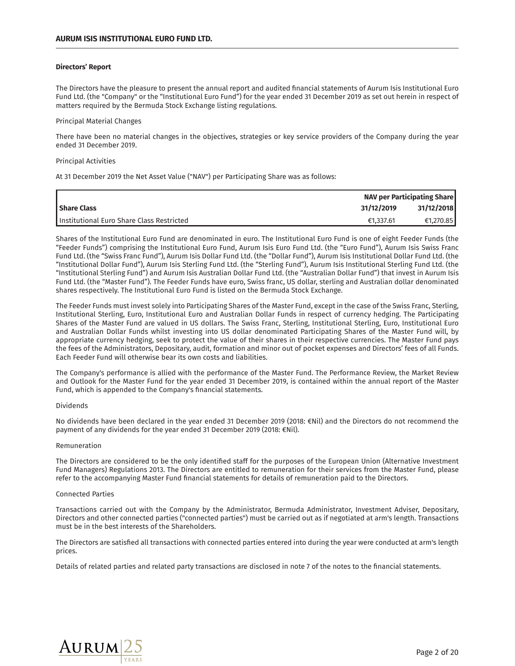## **Directors' Report**

The Directors have the pleasure to present the annual report and audited financial statements of Aurum Isis Institutional Euro Fund Ltd. (the "Company" or the "Institutional Euro Fund") for the year ended 31 December 2019 as set out herein in respect of matters required by the Bermuda Stock Exchange listing regulations.

#### Principal Material Changes

There have been no material changes in the objectives, strategies or key service providers of the Company during the year ended 31 December 2019.

#### Principal Activities

At 31 December 2019 the Net Asset Value ("NAV") per Participating Share was as follows:

|                                             | <b>NAV per Participating Share</b> |            |  |
|---------------------------------------------|------------------------------------|------------|--|
| I Share Class                               | 31/12/2019                         | 31/12/2018 |  |
| l Institutional Euro Share Class Restricted | €1.337.61                          | €1,270.85  |  |

Shares of the Institutional Euro Fund are denominated in euro. The Institutional Euro Fund is one of eight Feeder Funds (the "Feeder Funds") comprising the Institutional Euro Fund, Aurum Isis Euro Fund Ltd. (the "Euro Fund"), Aurum Isis Swiss Franc Fund Ltd. (the "Swiss Franc Fund"), Aurum Isis Dollar Fund Ltd. (the "Dollar Fund"), Aurum Isis Institutional Dollar Fund Ltd. (the "Institutional Dollar Fund"), Aurum Isis Sterling Fund Ltd. (the "Sterling Fund"), Aurum Isis Institutional Sterling Fund Ltd. (the "Institutional Sterling Fund") and Aurum Isis Australian Dollar Fund Ltd. (the "Australian Dollar Fund") that invest in Aurum Isis Fund Ltd. (the "Master Fund"). The Feeder Funds have euro, Swiss franc, US dollar, sterling and Australian dollar denominated shares respectively. The Institutional Euro Fund is listed on the Bermuda Stock Exchange.

The Feeder Funds must invest solely into Participating Shares of the Master Fund, except in the case of the Swiss Franc, Sterling, Institutional Sterling, Euro, Institutional Euro and Australian Dollar Funds in respect of currency hedging. The Participating Shares of the Master Fund are valued in US dollars. The Swiss Franc, Sterling, Institutional Sterling, Euro, Institutional Euro and Australian Dollar Funds whilst investing into US dollar denominated Participating Shares of the Master Fund will, by appropriate currency hedging, seek to protect the value of their shares in their respective currencies. The Master Fund pays the fees of the Administrators, Depositary, audit, formation and minor out of pocket expenses and Directors' fees of all Funds. Each Feeder Fund will otherwise bear its own costs and liabilities.

The Company's performance is allied with the performance of the Master Fund. The Performance Review, the Market Review and Outlook for the Master Fund for the year ended 31 December 2019, is contained within the annual report of the Master Fund, which is appended to the Company's financial statements.

## Dividends

No dividends have been declared in the year ended 31 December 2019 (2018: €Nil) and the Directors do not recommend the payment of any dividends for the year ended 31 December 2019 (2018: €Nil).

#### Remuneration

The Directors are considered to be the only identified staff for the purposes of the European Union (Alternative Investment Fund Managers) Regulations 2013. The Directors are entitled to remuneration for their services from the Master Fund, please refer to the accompanying Master Fund financial statements for details of remuneration paid to the Directors.

#### Connected Parties

Transactions carried out with the Company by the Administrator, Bermuda Administrator, Investment Adviser, Depositary, Directors and other connected parties ("connected parties") must be carried out as if negotiated at arm's length. Transactions must be in the best interests of the Shareholders.

The Directors are satisfied all transactions with connected parties entered into during the year were conducted at arm's length prices.

Details of related parties and related party transactions are disclosed in note 7 of the notes to the financial statements.

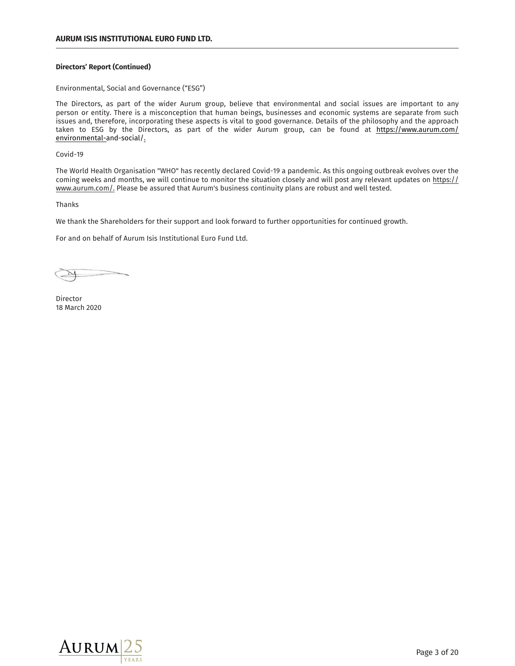## **Directors' Report (Continued)**

Environmental, Social and Governance ("ESG")

The Directors, as part of the wider Aurum group, believe that environmental and social issues are important to any person or entity. There is a misconception that human beings, businesses and economic systems are separate from such issues and, therefore, incorporating these aspects is vital to good governance. Details of the philosophy and the approach taken to ESG by the Directors, as part of the wider Aurum group, can be found at https://www.aurum.com/ environmental-and-social/.

Covid-19

The World Health Organisation "WHO" has recently declared Covid-19 a pandemic. As this ongoing outbreak evolves over the coming weeks and months, we will continue to monitor the situation closely and will post any relevant updates on https:// www.aurum.com/. Please be assured that Aurum's business continuity plans are robust and well tested.

Thanks

We thank the Shareholders for their support and look forward to further opportunities for continued growth.

For and on behalf of Aurum Isis Institutional Euro Fund Ltd.

Director 18 March 2020

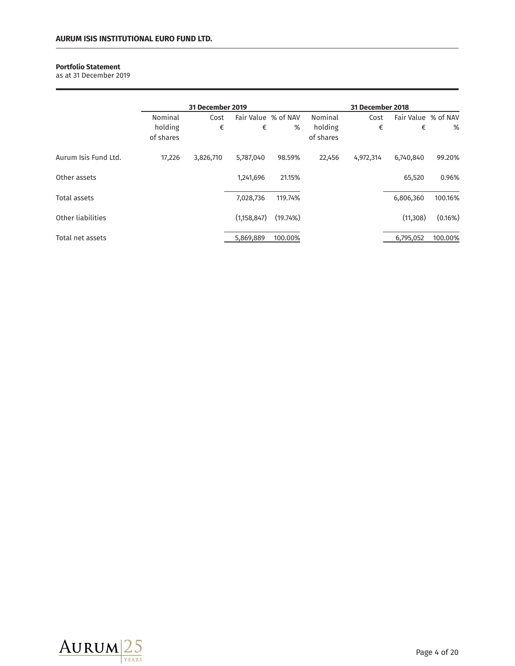# **Portfolio Statement**

as at 31 December 2019

|                      |                      | <b>31 December 2019</b> |                     |          |                      | <b>31 December 2018</b> |                     |         |
|----------------------|----------------------|-------------------------|---------------------|----------|----------------------|-------------------------|---------------------|---------|
|                      | Nominal              | Cost                    | Fair Value % of NAV |          | Nominal              | Cost                    | Fair Value % of NAV |         |
|                      | holding<br>of shares | €                       | €                   | %        | holding<br>of shares | €                       | €                   | %       |
| Aurum Isis Fund Ltd. | 17,226               | 3,826,710               | 5,787,040           | 98.59%   | 22,456               | 4,972,314               | 6,740,840           | 99.20%  |
| Other assets         |                      |                         | 1,241,696           | 21.15%   |                      |                         | 65,520              | 0.96%   |
| Total assets         |                      |                         | 7,028,736           | 119.74%  |                      |                         | 6,806,360           | 100.16% |
| Other liabilities    |                      |                         | (1,158,847)         | (19.74%) |                      |                         | (11,308)            | (0.16%) |
| Total net assets     |                      |                         | 5,869,889           | 100.00%  |                      |                         | 6,795,052           | 100.00% |

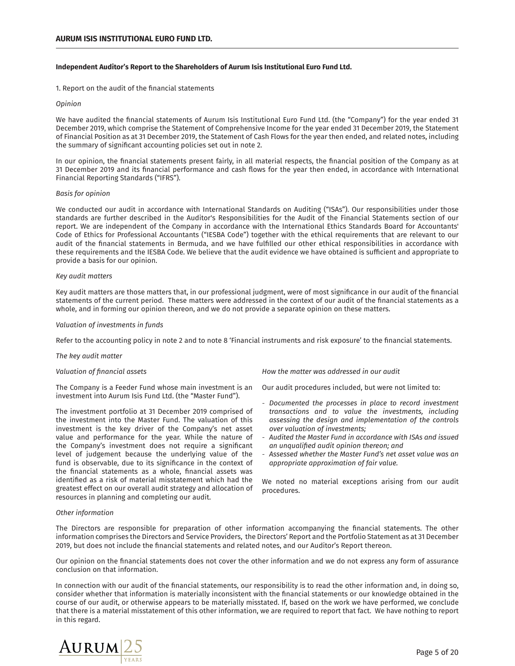## **Independent Auditor's Report to the Shareholders of Aurum Isis Institutional Euro Fund Ltd.**

1. Report on the audit of the financial statements

## *Opinion*

We have audited the financial statements of Aurum Isis Institutional Euro Fund Ltd. (the "Company") for the year ended 31 December 2019, which comprise the Statement of Comprehensive Income for the year ended 31 December 2019, the Statement of Financial Position as at 31 December 2019, the Statement of Cash Flows for the year then ended, and related notes, including the summary of significant accounting policies set out in note 2.

In our opinion, the financial statements present fairly, in all material respects, the financial position of the Company as at 31 December 2019 and its financial performance and cash flows for the year then ended, in accordance with International Financial Reporting Standards ("IFRS").

## *Basis for opinion*

We conducted our audit in accordance with International Standards on Auditing ("ISAs"). Our responsibilities under those standards are further described in the Auditor's Responsibilities for the Audit of the Financial Statements section of our report. We are independent of the Company in accordance with the International Ethics Standards Board for Accountants' Code of Ethics for Professional Accountants ("IESBA Code") together with the ethical requirements that are relevant to our audit of the financial statements in Bermuda, and we have fulfilled our other ethical responsibilities in accordance with these requirements and the IESBA Code. We believe that the audit evidence we have obtained is sufficient and appropriate to provide a basis for our opinion.

#### *Key audit matters*

Key audit matters are those matters that, in our professional judgment, were of most significance in our audit of the financial statements of the current period. These matters were addressed in the context of our audit of the financial statements as a whole, and in forming our opinion thereon, and we do not provide a separate opinion on these matters.

## *Valuation of investments in funds*

Refer to the accounting policy in note 2 and to note 8 'Financial instruments and risk exposure' to the financial statements.

## *õǝƟ-ȄƟ˃-ŔʙƌǨʄ-ȜŔʄʄƟɧ*

# *ġŔȊʙŔʄǨȲȢ-ȲLJ-˩ȢŔȢƂǨŔȊ-ŔɷɷƟʄɷ-*

The Company is a Feeder Fund whose main investment is an investment into Aurum Isis Fund Ltd. (the "Master Fund").

The investment portfolio at 31 December 2019 comprised of the investment into the Master Fund. The valuation of this investment is the key driver of the Company's net asset value and performance for the year. While the nature of the Company's investment does not require a significant level of judgement because the underlying value of the fund is observable, due to its significance in the context of the financial statements as a whole, financial assets was identified as a risk of material misstatement which had the greatest effect on our overall audit strategy and allocation of resources in planning and completing our audit.

How the matter was addressed in our audit

Our audit procedures included, but were not limited to:

- Documented the processes in place to record investment transactions and to value the investments, including assessing the design and implementation of the controls *over valuation of investments;*
- Audited the Master Fund in accordance with ISAs and issued an unqualified audit opinion thereon; and
- Assessed whether the Master Fund's net asset value was an *Appropriate approximation of fair value.*

We noted no material exceptions arising from our audit procedures.

# *°ʄǝƟɧ-ǨȢLJȲɧȜŔʄǨȲȢ*

The Directors are responsible for preparation of other information accompanying the financial statements. The other information comprises the Directors and Service Providers, the Directors' Report and the Portfolio Statement as at 31 December 2019, but does not include the financial statements and related notes, and our Auditor's Report thereon.

Our opinion on the financial statements does not cover the other information and we do not express any form of assurance conclusion on that information.

In connection with our audit of the financial statements, our responsibility is to read the other information and, in doing so, consider whether that information is materially inconsistent with the financial statements or our knowledge obtained in the course of our audit, or otherwise appears to be materially misstated. If, based on the work we have performed, we conclude that there is a material misstatement of this other information, we are required to report that fact. We have nothing to report in this regard.

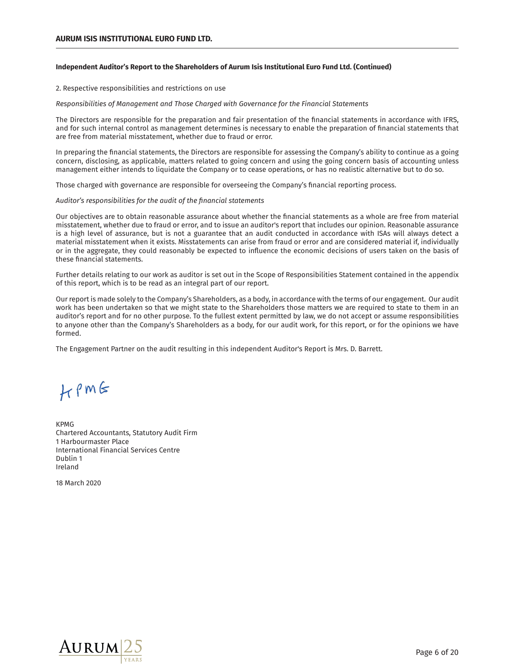# **Independent Auditor's Report to the Shareholders of Aurum Isis Institutional Euro Fund Ltd. (Continued)**

2. Respective responsibilities and restrictions on use

*R*esponsibilities of Management and Those Charged with Governance for the Financial Statements

The Directors are responsible for the preparation and fair presentation of the financial statements in accordance with IFRS, and for such internal control as management determines is necessary to enable the preparation of financial statements that are free from material misstatement, whether due to fraud or error.

In preparing the financial statements, the Directors are responsible for assessing the Company's ability to continue as a going concern, disclosing, as applicable, matters related to going concern and using the going concern basis of accounting unless management either intends to liquidate the Company or to cease operations, or has no realistic alternative but to do so.

Those charged with governance are responsible for overseeing the Company's financial reporting process.

*ʙƌǨʄȲɧࢪɷ-ɧƟɷɝȲȢɷǨŸǨȊǨʄǨƟɷ-LJȲɧ-ʄǝƟ-ŔʙƌǨʄ-ȲLJ-ʄǝƟ-˩ȢŔȢƂǨŔȊ-ɷʄŔʄƟȜƟȢʄɷ*

Our objectives are to obtain reasonable assurance about whether the financial statements as a whole are free from material misstatement, whether due to fraud or error, and to issue an auditor's report that includes our opinion. Reasonable assurance is a high level of assurance, but is not a guarantee that an audit conducted in accordance with ISAs will always detect a material misstatement when it exists. Misstatements can arise from fraud or error and are considered material if, individually or in the aggregate, they could reasonably be expected to influence the economic decisions of users taken on the basis of these financial statements.

Further details relating to our work as auditor is set out in the Scope of Responsibilities Statement contained in the appendix of this report, which is to be read as an integral part of our report.

Our report is made solely to the Company's Shareholders, as a body, in accordance with the terms of our engagement. Our audit work has been undertaken so that we might state to the Shareholders those matters we are required to state to them in an auditor's report and for no other purpose. To the fullest extent permitted by law, we do not accept or assume responsibilities to anyone other than the Company's Shareholders as a body, for our audit work, for this report, or for the opinions we have formed.

The Engagement Partner on the audit resulting in this independent Auditor's Report is Mrs. D. Barrett.

 $H$   $\rho$  m  $6$ 

KPMG Chartered Accountants, Statutory Audit Firm 1 Harbourmaster Place International Financial Services Centre Dublin 1 Ireland

18 March 2020

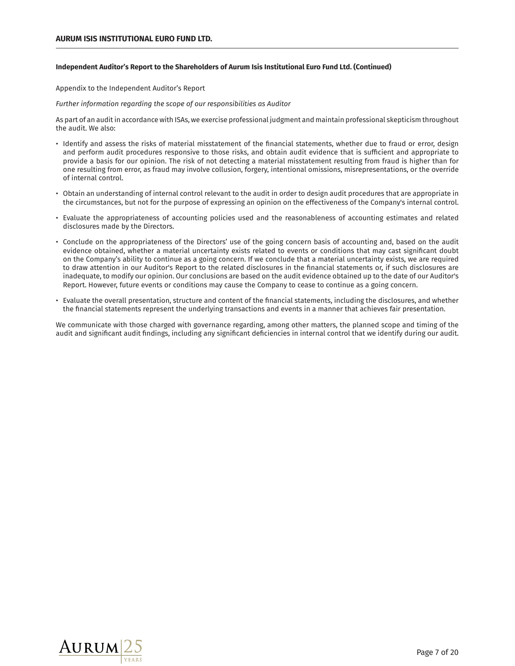# **Independent Auditor's Report to the Shareholders of Aurum Isis Institutional Euro Fund Ltd. (Continued)**

Appendix to the Independent Auditor's Report

*`ʙɧʄǝƟɧ-ǨȢLJȲɧȜŔʄǨȲȢ-ɧƟNJŔɧƌǨȢNJ-ʄǝƟ-ɷƂȲɝƟ-ȲLJ-Ȳʙɧ-ɧƟɷɝȲȢɷǨŸǨȊǨʄǨƟɷ-Ŕɷ-ʙƌǨʄȲɧ-*

As part of an audit in accordance with ISAs, we exercise professional judgment and maintain professional skepticism throughout the audit. We also:

- Identify and assess the risks of material misstatement of the financial statements, whether due to fraud or error, design and perform audit procedures responsive to those risks, and obtain audit evidence that is sufficient and appropriate to provide a basis for our opinion. The risk of not detecting a material misstatement resulting from fraud is higher than for one resulting from error, as fraud may involve collusion, forgery, intentional omissions, misrepresentations, or the override of internal control.
- Obtain an understanding of internal control relevant to the audit in order to design audit procedures that are appropriate in the circumstances, but not for the purpose of expressing an opinion on the effectiveness of the Company's internal control.
- Evaluate the appropriateness of accounting policies used and the reasonableness of accounting estimates and related disclosures made by the Directors.
- Conclude on the appropriateness of the Directors' use of the going concern basis of accounting and, based on the audit evidence obtained, whether a material uncertainty exists related to events or conditions that may cast significant doubt on the Company's ability to continue as a going concern. If we conclude that a material uncertainty exists, we are required to draw attention in our Auditor's Report to the related disclosures in the financial statements or, if such disclosures are inadequate, to modify our opinion. Our conclusions are based on the audit evidence obtained up to the date of our Auditor's Report. However, future events or conditions may cause the Company to cease to continue as a going concern.
- Evaluate the overall presentation, structure and content of the financial statements, including the disclosures, and whether the financial statements represent the underlying transactions and events in a manner that achieves fair presentation.

We communicate with those charged with governance regarding, among other matters, the planned scope and timing of the audit and significant audit findings, including any significant deficiencies in internal control that we identify during our audit.

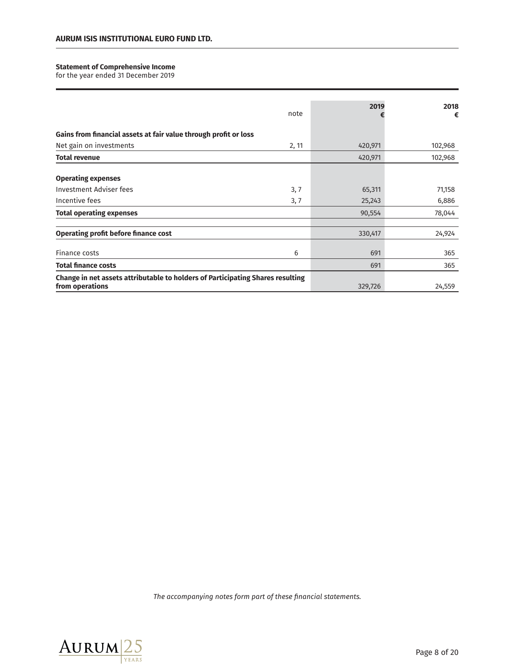# **Statement of Comprehensive Income**

for the year ended 31 December 2019

|                                                                                                   | note  | 2019    | 2018<br>€ |  |
|---------------------------------------------------------------------------------------------------|-------|---------|-----------|--|
| Gains from financial assets at fair value through profit or loss                                  |       |         |           |  |
| Net gain on investments                                                                           | 2, 11 | 420,971 | 102,968   |  |
| <b>Total revenue</b>                                                                              |       | 420,971 | 102,968   |  |
| <b>Operating expenses</b>                                                                         |       |         |           |  |
| <b>Investment Adviser fees</b>                                                                    | 3, 7  | 65,311  | 71,158    |  |
| Incentive fees                                                                                    | 3, 7  | 25,243  | 6,886     |  |
| <b>Total operating expenses</b>                                                                   |       | 90,554  | 78,044    |  |
| <b>Operating profit before finance cost</b>                                                       |       | 330,417 | 24,924    |  |
| Finance costs                                                                                     | 6     | 691     | 365       |  |
| <b>Total finance costs</b>                                                                        |       | 691     | 365       |  |
| Change in net assets attributable to holders of Participating Shares resulting<br>from operations |       | 329,726 | 24,559    |  |

*õǝƟ-ŔƂƂȲȜɝŔȢ˃ǨȢNJ-ȢȲʄƟɷ-LJȲɧȜ-ɝŔɧʄ-ȲLJ-ʄǝƟɷƟ-˩ȢŔȢƂǨŔȊ-ɷʄŔʄƟȜƟȢʄɷࡲ*

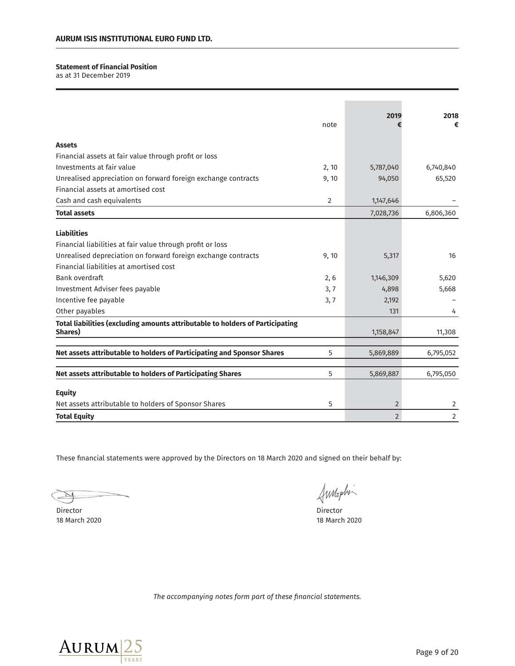# **Statement of Financial Position**

as at 31 December 2019

|                                                                               | note  | 2019           | 2018<br>€ |
|-------------------------------------------------------------------------------|-------|----------------|-----------|
|                                                                               |       |                |           |
| <b>Assets</b>                                                                 |       |                |           |
| Financial assets at fair value through profit or loss                         |       |                |           |
| Investments at fair value                                                     | 2, 10 | 5,787,040      | 6,740,840 |
| Unrealised appreciation on forward foreign exchange contracts                 | 9,10  | 94,050         | 65,520    |
| Financial assets at amortised cost                                            |       |                |           |
| Cash and cash equivalents                                                     | 2     | 1,147,646      |           |
| <b>Total assets</b>                                                           |       | 7,028,736      | 6,806,360 |
|                                                                               |       |                |           |
| <b>Liabilities</b>                                                            |       |                |           |
| Financial liabilities at fair value through profit or loss                    |       |                |           |
| Unrealised depreciation on forward foreign exchange contracts                 | 9,10  | 5,317          | 16        |
| Financial liabilities at amortised cost                                       |       |                |           |
| Bank overdraft                                                                | 2, 6  | 1,146,309      | 5,620     |
| Investment Adviser fees payable                                               | 3, 7  | 4,898          | 5,668     |
| Incentive fee payable                                                         | 3, 7  | 2,192          |           |
| Other payables                                                                |       | 131            | 4         |
| Total liabilities (excluding amounts attributable to holders of Participating |       |                |           |
| Shares)                                                                       |       | 1,158,847      | 11,308    |
| Net assets attributable to holders of Participating and Sponsor Shares        | 5     | 5,869,889      | 6,795,052 |
|                                                                               |       |                |           |
| Net assets attributable to holders of Participating Shares                    | 5     | 5,869,887      | 6,795,050 |
| <b>Equity</b>                                                                 |       |                |           |
| Net assets attributable to holders of Sponsor Shares                          | 5     | $\overline{2}$ | 2         |
| <b>Total Equity</b>                                                           |       | $\overline{2}$ | 2         |

These financial statements were approved by the Directors on 18 March 2020 and signed on their behalf by:

Director Director 18 March 2020 18 March 2020

Annophi

*õǝƟ-ŔƂƂȲȜɝŔȢ˃ǨȢNJ-ȢȲʄƟɷ-LJȲɧȜ-ɝŔɧʄ-ȲLJ-ʄǝƟɷƟ-˩ȢŔȢƂǨŔȊ-ɷʄŔʄƟȜƟȢʄɷࡲ*

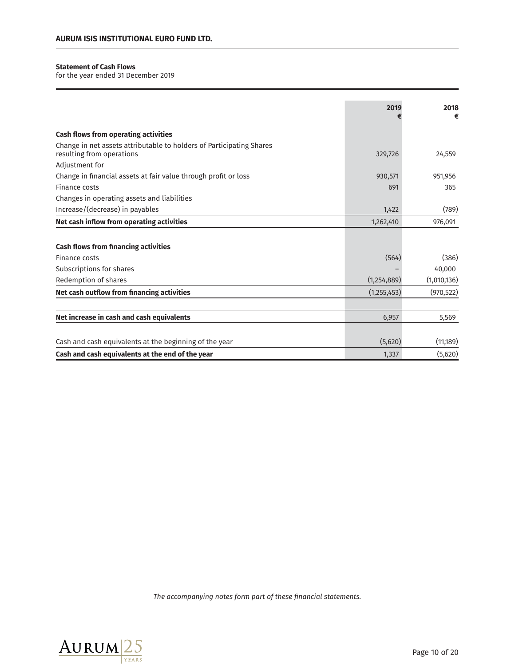# **Statement of Cash Flows**

for the year ended 31 December 2019

|                                                                                                   | 2019          | 2018<br>€   |
|---------------------------------------------------------------------------------------------------|---------------|-------------|
| <b>Cash flows from operating activities</b>                                                       |               |             |
| Change in net assets attributable to holders of Participating Shares<br>resulting from operations | 329,726       | 24,559      |
| Adjustment for                                                                                    |               |             |
| Change in financial assets at fair value through profit or loss                                   | 930,571       | 951,956     |
| Finance costs                                                                                     | 691           | 365         |
| Changes in operating assets and liabilities                                                       |               |             |
| Increase/(decrease) in payables                                                                   | 1,422         | (789)       |
| Net cash inflow from operating activities                                                         | 1,262,410     | 976,091     |
|                                                                                                   |               |             |
| <b>Cash flows from financing activities</b>                                                       |               |             |
| Finance costs                                                                                     | (564)         | (386)       |
| Subscriptions for shares                                                                          |               | 40,000      |
| Redemption of shares                                                                              | (1, 254, 889) | (1,010,136) |
| Net cash outflow from financing activities                                                        | (1, 255, 453) | (970, 522)  |
|                                                                                                   |               |             |
| Net increase in cash and cash equivalents                                                         | 6,957         | 5,569       |
|                                                                                                   |               |             |
| Cash and cash equivalents at the beginning of the year                                            | (5,620)       | (11, 189)   |
| Cash and cash equivalents at the end of the year                                                  | 1,337         | (5,620)     |

*õǝƟ-ŔƂƂȲȜɝŔȢ˃ǨȢNJ-ȢȲʄƟɷ-LJȲɧȜ-ɝŔɧʄ-ȲLJ-ʄǝƟɷƟ-˩ȢŔȢƂǨŔȊ-ɷʄŔʄƟȜƟȢʄɷࡲ*

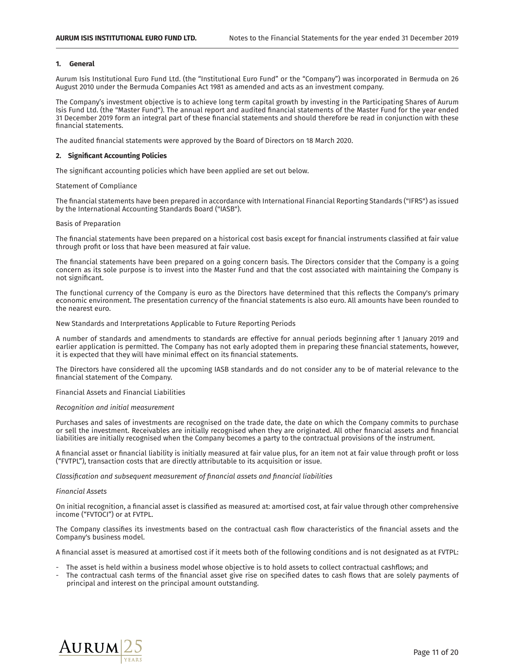#### 1. General

Aurum Isis Institutional Euro Fund Ltd. (the "Institutional Euro Fund" or the "Company") was incorporated in Bermuda on 26 August 2010 under the Bermuda Companies Act 1981 as amended and acts as an investment company.

The Company's investment objective is to achieve long term capital growth by investing in the Participating Shares of Aurum Isis Fund Ltd. (the "Master Fund"). The annual report and audited financial statements of the Master Fund for the year ended 31 December 2019 form an integral part of these financial statements and should therefore be read in conjunction with these ˪nancial statements.

The audited financial statements were approved by the Board of Directors on 18 March 2020.

#### 2. Significant Accounting Policies

The significant accounting policies which have been applied are set out below.

#### Statement of Compliance

The financial statements have been prepared in accordance with International Financial Reporting Standards ("IFRS") as issued by the International Accounting Standards Board ("IASB").

#### Basis of Preparation

The financial statements have been prepared on a historical cost basis except for financial instruments classified at fair value through profit or loss that have been measured at fair value.

The financial statements have been prepared on a going concern basis. The Directors consider that the Company is a going concern as its sole purpose is to invest into the Master Fund and that the cost associated with maintaining the Company is not significant.

The functional currency of the Company is euro as the Directors have determined that this reflects the Company's primary economic environment. The presentation currency of the financial statements is also euro. All amounts have been rounded to the nearest euro.

New Standards and Interpretations Applicable to Future Reporting Periods

A number of standards and amendments to standards are effective for annual periods beginning after 1 January 2019 and earlier application is permitted. The Company has not early adopted them in preparing these financial statements, however, it is expected that they will have minimal effect on its financial statements.

The Directors have considered all the upcoming IASB standards and do not consider any to be of material relevance to the financial statement of the Company.

Financial Assets and Financial Liabilities

#### *áƟƂȲNJȢǨʄǨȲȢ-ŔȢƌ-ǨȢǨʄǨŔȊ-ȜƟŔɷʙɧƟȜƟȢʄ*

Purchases and sales of investments are recognised on the trade date, the date on which the Company commits to purchase or sell the investment. Receivables are initially recognised when they are originated. All other financial assets and financial liabilities are initially recognised when the Company becomes a party to the contractual provisions of the instrument.

A financial asset or financial liability is initially measured at fair value plus, for an item not at fair value through profit or loss ("FVTPL"), transaction costs that are directly attributable to its acquisition or issue.

*,ȊŔɷɷǨ˩ƂŔʄǨȲȢ-ŔȢƌ-ɷʙŸɷƟɣʙƟȢʄ-ȜƟŔɷʙɧƟȜƟȢʄ-ȲLJ-˩ȢŔȢƂǨŔȊ-ŔɷɷƟʄɷ-ŔȢƌ-˩ȢŔȢƂǨŔȊ-ȊǨŔŸǨȊǨʄǨƟɷ*

#### *`ǨȢŔȢƂǨŔȊ-ɷɷƟʄɷ*

On initial recognition, a financial asset is classified as measured at: amortised cost, at fair value through other comprehensive income ("FVTOCI") or at FVTPL.

The Company classifies its investments based on the contractual cash flow characteristics of the financial assets and the Company's business model.

A financial asset is measured at amortised cost if it meets both of the following conditions and is not designated as at FVTPL:

- The asset is held within a business model whose objective is to hold assets to collect contractual cashflows; and
- The contractual cash terms of the financial asset give rise on specified dates to cash flows that are solely payments of principal and interest on the principal amount outstanding.

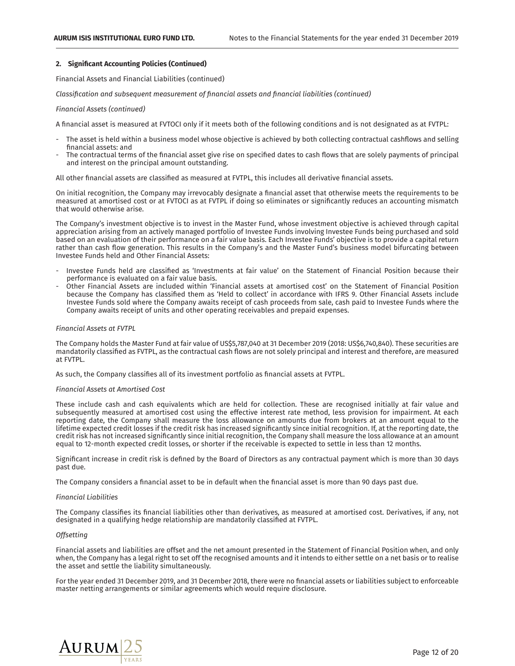## 2. Significant Accounting Policies (Continued)

Financial Assets and Financial Liabilities (continued)

*,ȊŔɷɷǨ˩ƂŔʄǨȲȢ-ŔȢƌ-ɷʙŸɷƟɣʙƟȢʄ-ȜƟŔɷʙɧƟȜƟȢʄ-ȲLJ-˩ȢŔȢƂǨŔȊ-ŔɷɷƟʄɷ-ŔȢƌ-˩ȢŔȢƂǨŔȊ-ȊǨŔŸǨȊǨʄǨƟɷ-ࢇƂȲȢʄǨȢʙƟƌ࢈*

## *`ǨȢŔȢƂǨŔȊ-ɷɷƟʄɷ-ࢇƂȲȢʄǨȢʙƟƌ࢈*

A financial asset is measured at FVTOCI only if it meets both of the following conditions and is not designated as at FVTPL:

- The asset is held within a business model whose objective is achieved by both collecting contractual cashflows and selling ˪nancial assets: and
- The contractual terms of the financial asset give rise on specified dates to cash flows that are solely payments of principal and interest on the principal amount outstanding.

All other financial assets are classified as measured at FVTPL, this includes all derivative financial assets.

On initial recognition, the Company may irrevocably designate a financial asset that otherwise meets the requirements to be measured at amortised cost or at FVTOCI as at FVTPL if doing so eliminates or significantly reduces an accounting mismatch that would otherwise arise.

The Company's investment objective is to invest in the Master Fund, whose investment objective is achieved through capital appreciation arising from an actively managed portfolio of Investee Funds involving Investee Funds being purchased and sold based on an evaluation of their performance on a fair value basis. Each Investee Funds' objective is to provide a capital return rather than cash flow generation. This results in the Company's and the Master Fund's business model bifurcating between Investee Funds held and Other Financial Assets:

- Investee Funds held are classified as 'Investments at fair value' on the Statement of Financial Position because their performance is evaluated on a fair value basis.
- Other Financial Assets are included within 'Financial assets at amortised cost' on the Statement of Financial Position because the Company has classified them as 'Held to collect' in accordance with IFRS 9. Other Financial Assets include Investee Funds sold where the Company awaits receipt of cash proceeds from sale, cash paid to Investee Funds where the Company awaits receipt of units and other operating receivables and prepaid expenses.

## *`ǨȢŔȢƂǨŔȊ-ɷɷƟʄɷ-Ŕʄ-`ġõÚ*

The Company holds the Master Fund at fair value of US\$5,787,040 at 31 December 2019 (2018: US\$6,740,840). These securities are mandatorily classified as FVTPL, as the contractual cash flows are not solely principal and interest and therefore, are measured at FVTPL.

As such, the Company classifies all of its investment portfolio as financial assets at FVTPL.

#### *`ǨȢŔȢƂǨŔȊ-ɷɷƟʄɷ-Ŕʄ-ȜȲɧʄǨɷƟƌ-,Ȳɷʄࢴ*

These include cash and cash equivalents which are held for collection. These are recognised initially at fair value and subsequently measured at amortised cost using the effective interest rate method, less provision for impairment. At each reporting date, the Company shall measure the loss allowance on amounts due from brokers at an amount equal to the lifetime expected credit losses if the credit risk has increased significantly since initial recognition. If, at the reporting date, the credit risk has not increased significantly since initial recognition, the Company shall measure the loss allowance at an amount equal to 12-month expected credit losses, or shorter if the receivable is expected to settle in less than 12 months.

Significant increase in credit risk is defined by the Board of Directors as any contractual payment which is more than 30 days past due.

The Company considers a financial asset to be in default when the financial asset is more than 90 days past due.

## *`ǨȢŔȢƂǨŔȊ-ǨŔŸǨȊǨʄǨƟɷࢴࢴ*

The Company classifies its financial liabilities other than derivatives, as measured at amortised cost. Derivatives, if any, not designated in a qualifying hedge relationship are mandatorily classified at FVTPL.

#### *Offsetting*

Financial assets and liabilities are offset and the net amount presented in the Statement of Financial Position when, and only when, the Company has a legal right to set off the recognised amounts and it intends to either settle on a net basis or to realise the asset and settle the liability simultaneously.

For the year ended 31 December 2019, and 31 December 2018, there were no financial assets or liabilities subject to enforceable master netting arrangements or similar agreements which would require disclosure.

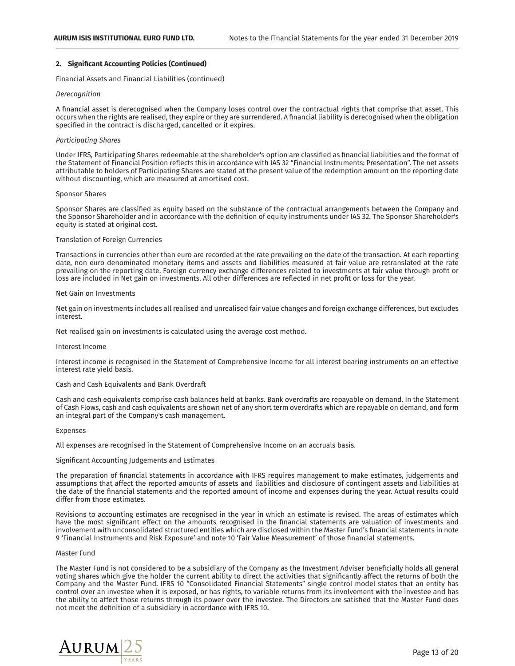## 2. Significant Accounting Policies (Continued)

Financial Assets and Financial Liabilities (continued)

### Derecognition

A financial asset is derecognised when the Company loses control over the contractual rights that comprise that asset. This occurs when the rights are realised, they expire or they are surrendered. A financial liability is derecognised when the obligation specified in the contract is discharged, cancelled or it expires.

### *ÚŔɧʄǨƂǨɝŔʄǨȢNJ-êǝŔɧƟɷ*

Under IFRS, Participating Shares redeemable at the shareholder's option are classified as financial liabilities and the format of the Statement of Financial Position reflects this in accordance with IAS 32 "Financial Instruments: Presentation". The net assets attributable to holders of Participating Shares are stated at the present value of the redemption amount on the reporting date without discounting, which are measured at amortised cost.

#### Sponsor Shares

Sponsor Shares are classified as equity based on the substance of the contractual arrangements between the Company and the Sponsor Shareholder and in accordance with the definition of equity instruments under IAS 32. The Sponsor Shareholder's equity is stated at original cost.

## Translation of Foreign Currencies

Transactions in currencies other than euro are recorded at the rate prevailing on the date of the transaction. At each reporting date, non euro denominated monetary items and assets and liabilities measured at fair value are retranslated at the rate prevailing on the reporting date. Foreign currency exchange differences related to investments at fair value through profit or loss are included in Net gain on investments. All other differences are reflected in net profit or loss for the year.

#### Net Gain on Investments

Net gain on investments includes all realised and unrealised fair value changes and foreign exchange differences, but excludes interest.

Net realised gain on investments is calculated using the average cost method.

#### Interest Income

Interest income is recognised in the Statement of Comprehensive Income for all interest bearing instruments on an effective interest rate yield basis.

#### Cash and Cash Equivalents and Bank Overdraft

Cash and cash equivalents comprise cash balances held at banks. Bank overdrafts are repayable on demand. In the Statement of Cash Flows, cash and cash equivalents are shown net of any short term overdrafts which are repayable on demand, and form an integral part of the Company's cash management.

#### Expenses

All expenses are recognised in the Statement of Comprehensive Income on an accruals basis.

#### Significant Accounting Judgements and Estimates

The preparation of financial statements in accordance with IFRS requires management to make estimates, judgements and assumptions that affect the reported amounts of assets and liabilities and disclosure of contingent assets and liabilities at the date of the financial statements and the reported amount of income and expenses during the year. Actual results could differ from those estimates.

Revisions to accounting estimates are recognised in the year in which an estimate is revised. The areas of estimates which have the most significant effect on the amounts recognised in the financial statements are valuation of investments and involvement with unconsolidated structured entities which are disclosed within the Master Fund's financial statements in note 9 'Financial Instruments and Risk Exposure' and note 10 'Fair Value Measurement' of those financial statements.

#### Master Fund

The Master Fund is not considered to be a subsidiary of the Company as the Investment Adviser beneficially holds all general voting shares which give the holder the current ability to direct the activities that significantly affect the returns of both the Company and the Master Fund. IFRS 10 "Consolidated Financial Statements" single control model states that an entity has control over an investee when it is exposed, or has rights, to variable returns from its involvement with the investee and has the ability to affect those returns through its power over the investee. The Directors are satisfied that the Master Fund does not meet the definition of a subsidiary in accordance with IFRS 10.

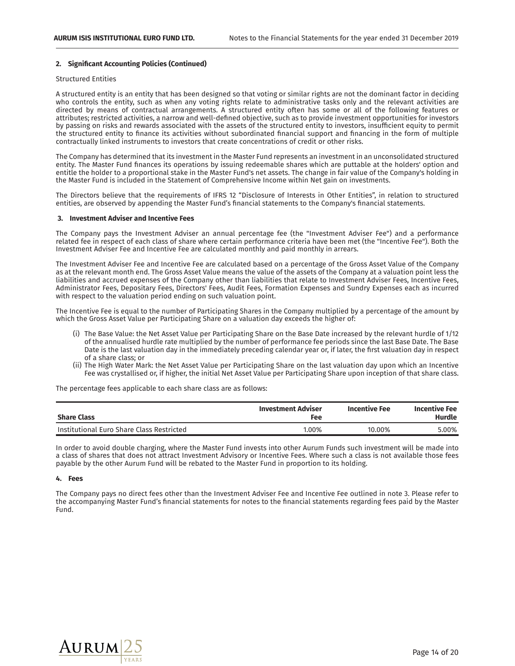### 2. Significant Accounting Policies (Continued)

# Structured Entities

A structured entity is an entity that has been designed so that voting or similar rights are not the dominant factor in deciding who controls the entity, such as when any voting rights relate to administrative tasks only and the relevant activities are directed by means of contractual arrangements. A structured entity often has some or all of the following features or attributes; restricted activities, a narrow and well-defined objective, such as to provide investment opportunities for investors by passing on risks and rewards associated with the assets of the structured entity to investors, insufficient equity to permit the structured entity to finance its activities without subordinated financial support and financing in the form of multiple contractually linked instruments to investors that create concentrations of credit or other risks.

The Company has determined that its investment in the Master Fund represents an investment in an unconsolidated structured entity. The Master Fund finances its operations by issuing redeemable shares which are puttable at the holders' option and entitle the holder to a proportional stake in the Master Fund's net assets. The change in fair value of the Company's holding in the Master Fund is included in the Statement of Comprehensive Income within Net gain on investments.

The Directors believe that the requirements of IFRS 12 "Disclosure of Interests in Other Entities", in relation to structured entities, are observed by appending the Master Fund's financial statements to the Company's financial statements.

#### **3.** Investment Adviser and Incentive Fees

The Company pays the Investment Adviser an annual percentage fee (the "Investment Adviser Fee") and a performance related fee in respect of each class of share where certain performance criteria have been met (the "Incentive Fee"). Both the Investment Adviser Fee and Incentive Fee are calculated monthly and paid monthly in arrears.

The Investment Adviser Fee and Incentive Fee are calculated based on a percentage of the Gross Asset Value of the Company as at the relevant month end. The Gross Asset Value means the value of the assets of the Company at a valuation point less the liabilities and accrued expenses of the Company other than liabilities that relate to Investment Adviser Fees, Incentive Fees, Administrator Fees, Depositary Fees, Directors' Fees, Audit Fees, Formation Expenses and Sundry Expenses each as incurred with respect to the valuation period ending on such valuation point.

The Incentive Fee is equal to the number of Participating Shares in the Company multiplied by a percentage of the amount by which the Gross Asset Value per Participating Share on a valuation day exceeds the higher of:

- (i) The Base Value: the Net Asset Value per Participating Share on the Base Date increased by the relevant hurdle of 1/12 of the annualised hurdle rate multiplied by the number of performance fee periods since the last Base Date. The Base Date is the last valuation day in the immediately preceding calendar year or, if later, the first valuation day in respect of a share class; or
- (ii) The High Water Mark: the Net Asset Value per Participating Share on the last valuation day upon which an Incentive Fee was crystallised or, if higher, the initial Net Asset Value per Participating Share upon inception of that share class.

The percentage fees applicable to each share class are as follows:

| <b>Share Class</b>                        | <b>Investment Adviser</b><br>Fee | Incentive Fee | Incentive Fee<br>Hurdle |
|-------------------------------------------|----------------------------------|---------------|-------------------------|
| Institutional Euro Share Class Restricted | 1.00%                            | 10.00%        | 5.00%                   |

In order to avoid double charging, where the Master Fund invests into other Aurum Funds such investment will be made into a class of shares that does not attract Investment Advisory or Incentive Fees. Where such a class is not available those fees payable by the other Aurum Fund will be rebated to the Master Fund in proportion to its holding.

#### 4. Fees

The Company pays no direct fees other than the Investment Adviser Fee and Incentive Fee outlined in note 3. Please refer to the accompanying Master Fund's financial statements for notes to the financial statements regarding fees paid by the Master Fund.

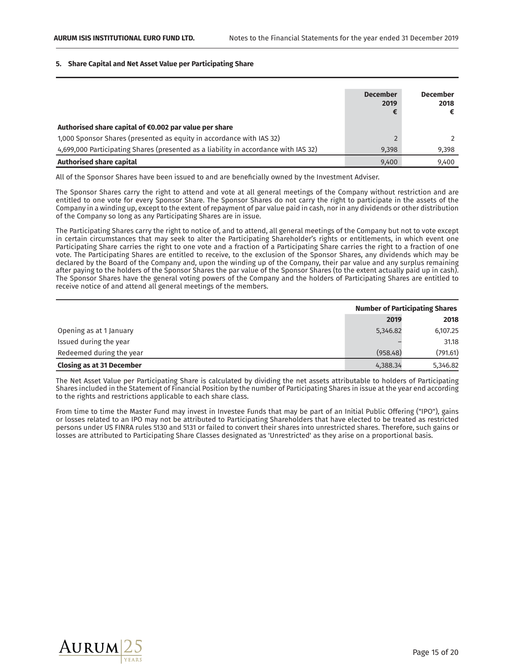#### **5.** Share Capital and Net Asset Value per Participating Share

|                                                                                     | <b>December</b><br>2019 | <b>December</b><br>2018 |
|-------------------------------------------------------------------------------------|-------------------------|-------------------------|
| Authorised share capital of €0.002 par value per share                              |                         |                         |
| 1,000 Sponsor Shares (presented as equity in accordance with IAS 32)                |                         |                         |
| 4,699,000 Participating Shares (presented as a liability in accordance with IAS 32) | 9.398                   | 9.398                   |
| <b>Authorised share capital</b>                                                     | 9.400                   | 9.400                   |

All of the Sponsor Shares have been issued to and are beneficially owned by the Investment Adviser.

The Sponsor Shares carry the right to attend and vote at all general meetings of the Company without restriction and are entitled to one vote for every Sponsor Share. The Sponsor Shares do not carry the right to participate in the assets of the Company in a winding up, except to the extent of repayment of par value paid in cash, nor in any dividends or other distribution of the Company so long as any Participating Shares are in issue.

The Participating Shares carry the right to notice of, and to attend, all general meetings of the Company but not to vote except in certain circumstances that may seek to alter the Participating Shareholder's rights or entitlements, in which event one Participating Share carries the right to one vote and a fraction of a Participating Share carries the right to a fraction of one vote. The Participating Shares are entitled to receive, to the exclusion of the Sponsor Shares, any dividends which may be declared by the Board of the Company and, upon the winding up of the Company, their par value and any surplus remaining after paying to the holders of the Sponsor Shares the par value of the Sponsor Shares (to the extent actually paid up in cash). The Sponsor Shares have the general voting powers of the Company and the holders of Participating Shares are entitled to receive notice of and attend all general meetings of the members.

|                                  | <b>Number of Participating Shares</b> |          |  |
|----------------------------------|---------------------------------------|----------|--|
|                                  | 2018<br>2019                          |          |  |
| Opening as at 1 January          | 5,346.82                              | 6,107.25 |  |
| Issued during the year           |                                       | 31.18    |  |
| Redeemed during the year         | (958.48)                              | (791.61) |  |
| <b>Closing as at 31 December</b> | 4,388.34                              | 5,346.82 |  |

The Net Asset Value per Participating Share is calculated by dividing the net assets attributable to holders of Participating Shares included in the Statement of Financial Position by the number of Participating Shares in issue at the year end according to the rights and restrictions applicable to each share class.

From time to time the Master Fund may invest in Investee Funds that may be part of an Initial Public Offering ("IPO"), gains or losses related to an IPO may not be attributed to Participating Shareholders that have elected to be treated as restricted persons under US FINRA rules 5130 and 5131 or failed to convert their shares into unrestricted shares. Therefore, such gains or losses are attributed to Participating Share Classes designated as 'Unrestricted' as they arise on a proportional basis.

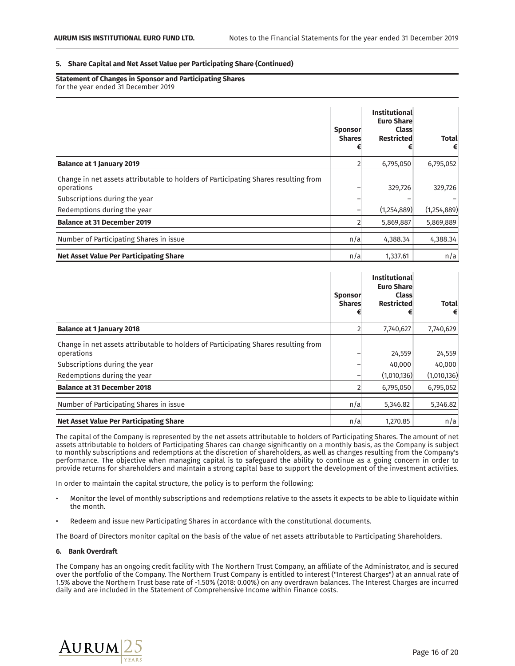#### **5.** Share Capital and Net Asset Value per Participating Share (Continued)

**Statement of Changes in Sponsor and Participating Shares** for the year ended 31 December 2019

|                                                                                                   | <b>Sponsor</b><br><b>Shares</b> | <b>Institutional</b><br><b>Euro Share</b><br><b>Class</b><br><b>Restricted</b> | <b>Total</b><br>€ |
|---------------------------------------------------------------------------------------------------|---------------------------------|--------------------------------------------------------------------------------|-------------------|
| <b>Balance at 1 January 2019</b>                                                                  | $\overline{2}$                  | 6,795,050                                                                      | 6,795,052         |
| Change in net assets attributable to holders of Participating Shares resulting from<br>operations |                                 | 329,726                                                                        | 329,726           |
| Subscriptions during the year                                                                     |                                 |                                                                                |                   |
| Redemptions during the year                                                                       |                                 | (1,254,889)                                                                    | (1,254,889)       |
| <b>Balance at 31 December 2019</b>                                                                |                                 | 5,869,887                                                                      | 5,869,889         |
| Number of Participating Shares in issue                                                           | n/a                             | 4,388.34                                                                       | 4,388.34          |
| <b>Net Asset Value Per Participating Share</b>                                                    | n/a                             | 1,337.61                                                                       | n/a               |

|                                                                                                                                    | <b>Sponsor</b><br><b>Shares</b> | <b>Institutional</b><br><b>Euro Share</b><br><b>Class</b><br><b>Restricted</b> | Total<br>€       |
|------------------------------------------------------------------------------------------------------------------------------------|---------------------------------|--------------------------------------------------------------------------------|------------------|
| <b>Balance at 1 January 2018</b>                                                                                                   | 2                               | 7,740,627                                                                      | 7,740,629        |
| Change in net assets attributable to holders of Participating Shares resulting from<br>operations<br>Subscriptions during the year |                                 | 24,559<br>40,000                                                               | 24,559<br>40,000 |
| Redemptions during the year                                                                                                        |                                 | (1,010,136)                                                                    | (1,010,136)      |
| <b>Balance at 31 December 2018</b>                                                                                                 |                                 | 6,795,050                                                                      | 6,795,052        |
| Number of Participating Shares in issue                                                                                            | n/a                             | 5,346.82                                                                       | 5,346.82         |
| <b>Net Asset Value Per Participating Share</b>                                                                                     | n/a                             | 1,270.85                                                                       | n/a              |

The capital of the Company is represented by the net assets attributable to holders of Participating Shares. The amount of net assets attributable to holders of Participating Shares can change significantly on a monthly basis, as the Company is subject to monthly subscriptions and redemptions at the discretion of shareholders, as well as changes resulting from the Company's performance. The objective when managing capital is to safeguard the ability to continue as a going concern in order to provide returns for shareholders and maintain a strong capital base to support the development of the investment activities.

In order to maintain the capital structure, the policy is to perform the following:

- Monitor the level of monthly subscriptions and redemptions relative to the assets it expects to be able to liquidate within the month.
- Redeem and issue new Participating Shares in accordance with the constitutional documents.

The Board of Directors monitor capital on the basis of the value of net assets attributable to Participating Shareholders.

# **6.** Bank Overdraft

The Company has an ongoing credit facility with The Northern Trust Company, an affiliate of the Administrator, and is secured over the portfolio of the Company. The Northern Trust Company is entitled to interest ("Interest Charges") at an annual rate of 1.5% above the Northern Trust base rate of -1.50% (2018: 0.00%) on any overdrawn balances. The Interest Charges are incurred daily and are included in the Statement of Comprehensive Income within Finance costs.

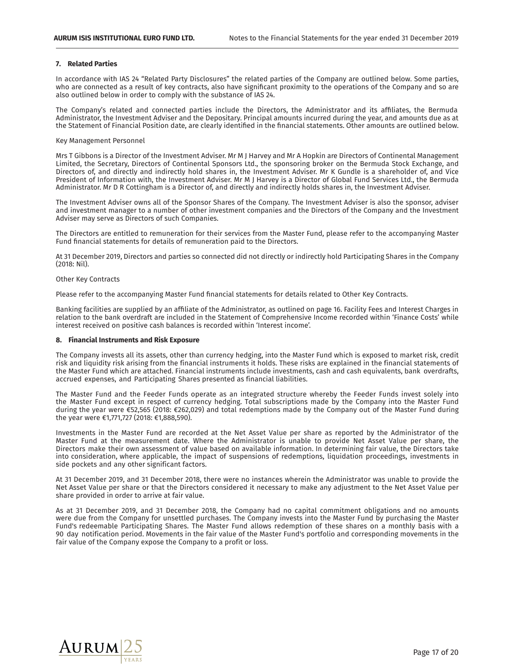#### **7.** Related Parties

In accordance with IAS 24 "Related Party Disclosures" the related parties of the Company are outlined below. Some parties, who are connected as a result of key contracts, also have significant proximity to the operations of the Company and so are also outlined below in order to comply with the substance of IAS 24.

The Company's related and connected parties include the Directors, the Administrator and its affiliates, the Bermuda Administrator, the Investment Adviser and the Depositary. Principal amounts incurred during the year, and amounts due as at the Statement of Financial Position date, are clearly identified in the financial statements. Other amounts are outlined below.

#### Key Management Personnel

Mrs T Gibbons is a Director of the Investment Adviser. Mr M J Harvey and Mr A Hopkin are Directors of Continental Management Limited, the Secretary, Directors of Continental Sponsors Ltd., the sponsoring broker on the Bermuda Stock Exchange, and Directors of, and directly and indirectly hold shares in, the Investment Adviser. Mr K Gundle is a shareholder of, and Vice President of Information with, the Investment Adviser. Mr M J Harvey is a Director of Global Fund Services Ltd., the Bermuda Administrator. Mr D R Cottingham is a Director of, and directly and indirectly holds shares in, the Investment Adviser.

The Investment Adviser owns all of the Sponsor Shares of the Company. The Investment Adviser is also the sponsor, adviser and investment manager to a number of other investment companies and the Directors of the Company and the Investment Adviser may serve as Directors of such Companies.

The Directors are entitled to remuneration for their services from the Master Fund, please refer to the accompanying Master Fund financial statements for details of remuneration paid to the Directors.

At 31 December 2019, Directors and parties so connected did not directly or indirectly hold Participating Shares in the Company (2018: Nil).

#### Other Key Contracts

Please refer to the accompanying Master Fund financial statements for details related to Other Key Contracts.

Banking facilities are supplied by an affiliate of the Administrator, as outlined on page 16. Facility Fees and Interest Charges in relation to the bank overdraft are included in the Statement of Comprehensive Income recorded within 'Finance Costs' while interest received on positive cash balances is recorded within 'Interest income'.

## 8. Financial Instruments and Risk Exposure

The Company invests all its assets, other than currency hedging, into the Master Fund which is exposed to market risk, credit risk and liquidity risk arising from the financial instruments it holds. These risks are explained in the financial statements of the Master Fund which are attached. Financial instruments include investments, cash and cash equivalents, bank overdrafts, accrued expenses, and Participating Shares presented as financial liabilities.

The Master Fund and the Feeder Funds operate as an integrated structure whereby the Feeder Funds invest solely into the Master Fund except in respect of currency hedging. Total subscriptions made by the Company into the Master Fund during the year were €52,565 (2018: €262,029) and total redemptions made by the Company out of the Master Fund during the year were €1,771,727 (2018: €1,888,590).

Investments in the Master Fund are recorded at the Net Asset Value per share as reported by the Administrator of the Master Fund at the measurement date. Where the Administrator is unable to provide Net Asset Value per share, the Directors make their own assessment of value based on available information. In determining fair value, the Directors take into consideration, where applicable, the impact of suspensions of redemptions, liquidation proceedings, investments in side pockets and any other significant factors.

At 31 December 2019, and 31 December 2018, there were no instances wherein the Administrator was unable to provide the Net Asset Value per share or that the Directors considered it necessary to make any adjustment to the Net Asset Value per share provided in order to arrive at fair value.

As at 31 December 2019, and 31 December 2018, the Company had no capital commitment obligations and no amounts were due from the Company for unsettled purchases. The Company invests into the Master Fund by purchasing the Master Fund's redeemable Participating Shares. The Master Fund allows redemption of these shares on a monthly basis with a 90 day notification period. Movements in the fair value of the Master Fund's portfolio and corresponding movements in the fair value of the Company expose the Company to a profit or loss.

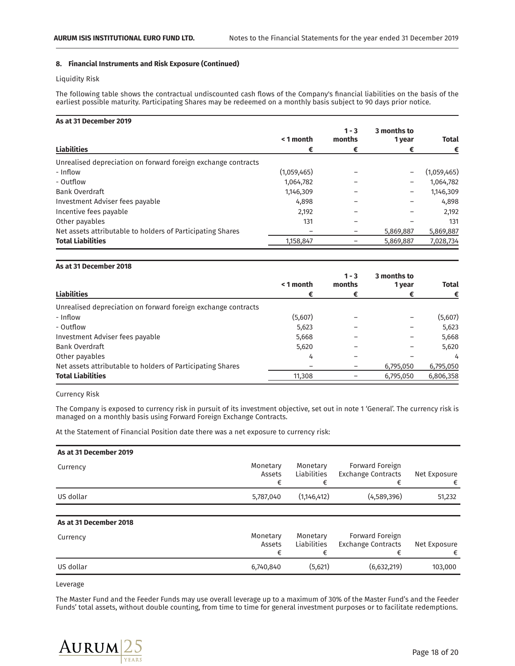### 8. Financial Instruments and Risk Exposure (Continued)

Liquidity Risk

The following table shows the contractual undiscounted cash flows of the Company's financial liabilities on the basis of the earliest possible maturity. Participating Shares may be redeemed on a monthly basis subject to 90 days prior notice.

| As at 31 December 2019                                        |             |                   |                       |              |
|---------------------------------------------------------------|-------------|-------------------|-----------------------|--------------|
|                                                               | < 1 month   | $1 - 3$<br>months | 3 months to<br>1 year | <b>Total</b> |
| <b>Liabilities</b>                                            |             | €                 | €                     | €            |
| Unrealised depreciation on forward foreign exchange contracts |             |                   |                       |              |
| - Inflow                                                      | (1,059,465) |                   |                       | (1,059,465)  |
| - Outflow                                                     | 1,064,782   |                   |                       | 1,064,782    |
| <b>Bank Overdraft</b>                                         | 1,146,309   |                   |                       | 1,146,309    |
| Investment Adviser fees payable                               | 4,898       |                   |                       | 4,898        |
| Incentive fees payable                                        | 2,192       |                   |                       | 2,192        |
| Other payables                                                | 131         |                   |                       | 131          |
| Net assets attributable to holders of Participating Shares    |             |                   | 5,869,887             | 5,869,887    |
| <b>Total Liabilities</b>                                      | 1,158,847   |                   | 5,869,887             | 7,028,734    |

#### **As at 31 December 2018**

|                                                               | < 1 month | $1 - 3$<br>months | 3 months to<br>1 year | <b>Total</b> |
|---------------------------------------------------------------|-----------|-------------------|-----------------------|--------------|
| <b>Liabilities</b>                                            |           |                   |                       | €            |
| Unrealised depreciation on forward foreign exchange contracts |           |                   |                       |              |
| - Inflow                                                      | (5,607)   |                   |                       | (5,607)      |
| - Outflow                                                     | 5,623     |                   |                       | 5,623        |
| Investment Adviser fees payable                               | 5,668     |                   |                       | 5,668        |
| <b>Bank Overdraft</b>                                         | 5,620     |                   |                       | 5,620        |
| Other payables                                                | 4         |                   |                       | 4            |
| Net assets attributable to holders of Participating Shares    |           |                   | 6,795,050             | 6,795,050    |
| <b>Total Liabilities</b>                                      | 11,308    |                   | 6,795,050             | 6,806,358    |

## Currency Risk

The Company is exposed to currency risk in pursuit of its investment objective, set out in note 1 'General'. The currency risk is managed on a monthly basis using Forward Foreign Exchange Contracts.

At the Statement of Financial Position date there was a net exposure to currency risk:

| As at 31 December 2019 |                         |                              |                                                   |                   |
|------------------------|-------------------------|------------------------------|---------------------------------------------------|-------------------|
| Currency               | Monetary<br>Assets<br>€ | Monetary<br>Liabilities<br>€ | Forward Foreign<br><b>Exchange Contracts</b><br>€ | Net Exposure<br>€ |
| US dollar              | 5,787,040               | (1, 146, 412)                | (4,589,396)                                       | 51,232            |
| As at 31 December 2018 |                         |                              |                                                   |                   |
| Currency               | Monetary<br>Assets<br>€ | Monetary<br>Liabilities<br>€ | Forward Foreign<br><b>Exchange Contracts</b><br>€ | Net Exposure<br>€ |
| US dollar              | 6,740,840               | (5,621)                      | (6,632,219)                                       | 103,000           |

Leverage

The Master Fund and the Feeder Funds may use overall leverage up to a maximum of 30% of the Master Fund's and the Feeder Funds' total assets, without double counting, from time to time for general investment purposes or to facilitate redemptions.

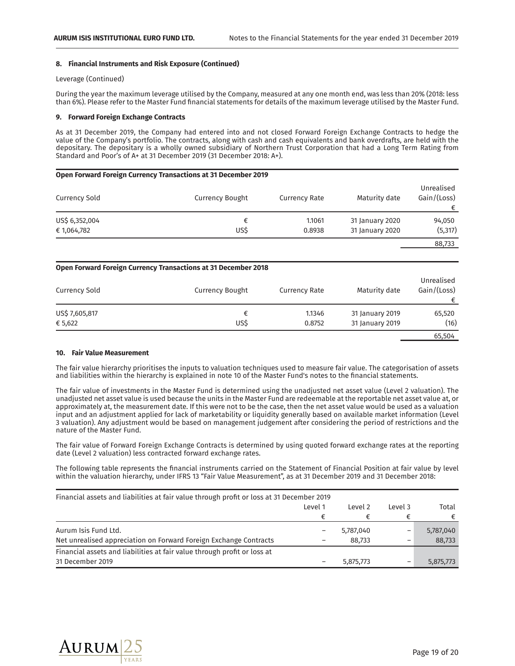## 8. Financial Instruments and Risk Exposure (Continued)

#### Leverage (Continued)

During the year the maximum leverage utilised by the Company, measured at any one month end, was less than 20% (2018: less than 6%). Please refer to the Master Fund financial statements for details of the maximum leverage utilised by the Master Fund.

#### **9. Forward Foreign Exchange Contracts**

As at 31 December 2019, the Company had entered into and not closed Forward Foreign Exchange Contracts to hedge the value of the Company's portfolio. The contracts, along with cash and cash equivalents and bank overdrafts, are held with the depositary. The depositary is a wholly owned subsidiary of Northern Trust Corporation that had a Long Term Rating from Standard and Poor's of A+ at 31 December 2019 (31 December 2018: A+).

## **Open Forward Foreign Currency Transactions at 31 December 2019**

| Currency Sold  | <b>Currency Bought</b> | Currency Rate | Maturity date   | Unrealised<br>Gain/(Loss) |
|----------------|------------------------|---------------|-----------------|---------------------------|
| US\$ 6,352,004 |                        | 1.1061        | 31 January 2020 | 94,050                    |
| € 1,064,782    | US\$                   | 0.8938        | 31 January 2020 | (5, 317)                  |
|                |                        |               |                 | 88,733                    |

#### **Open Forward Foreign Currency Transactions at 31 December 2018**

| <b>Currency Sold</b> | <b>Currency Bought</b> | Currency Rate | Maturity date   | Unrealised<br>Gain/(Loss) |
|----------------------|------------------------|---------------|-----------------|---------------------------|
| US\$ 7,605,817       |                        | 1.1346        | 31 January 2019 | 65,520                    |
| € 5,622              | US\$                   | 0.8752        | 31 January 2019 | (16)                      |
|                      |                        |               |                 | 65,504                    |

#### **10. Fair Value Measurement**

The fair value hierarchy prioritises the inputs to valuation techniques used to measure fair value. The categorisation of assets and liabilities within the hierarchy is explained in note 10 of the Master Fund's notes to the financial statements.

The fair value of investments in the Master Fund is determined using the unadjusted net asset value (Level 2 valuation). The unadjusted net asset value is used because the units in the Master Fund are redeemable at the reportable net asset value at, or approximately at, the measurement date. If this were not to be the case, then the net asset value would be used as a valuation input and an adjustment applied for lack of marketability or liquidity generally based on available market information (Level 3 valuation). Any adjustment would be based on management judgement after considering the period of restrictions and the nature of the Master Fund.

The fair value of Forward Foreign Exchange Contracts is determined by using quoted forward exchange rates at the reporting date (Level 2 valuation) less contracted forward exchange rates.

The following table represents the financial instruments carried on the Statement of Financial Position at fair value by level within the valuation hierarchy, under IFRS 13 "Fair Value Measurement", as at 31 December 2019 and 31 December 2018:

| Financial assets and liabilities at fair value through profit or loss at 31 December 2019 |         |           |         |           |  |
|-------------------------------------------------------------------------------------------|---------|-----------|---------|-----------|--|
|                                                                                           | Level 1 | Level 2   | Level 3 | Total     |  |
|                                                                                           | €       | €         |         |           |  |
| Aurum Isis Fund Ltd.                                                                      |         | 5,787,040 |         | 5,787,040 |  |
| Net unrealised appreciation on Forward Foreign Exchange Contracts                         |         | 88.733    |         | 88,733    |  |
| Financial assets and liabilities at fair value through profit or loss at                  |         |           |         |           |  |
| 31 December 2019                                                                          |         | 5,875,773 |         | 5,875,773 |  |